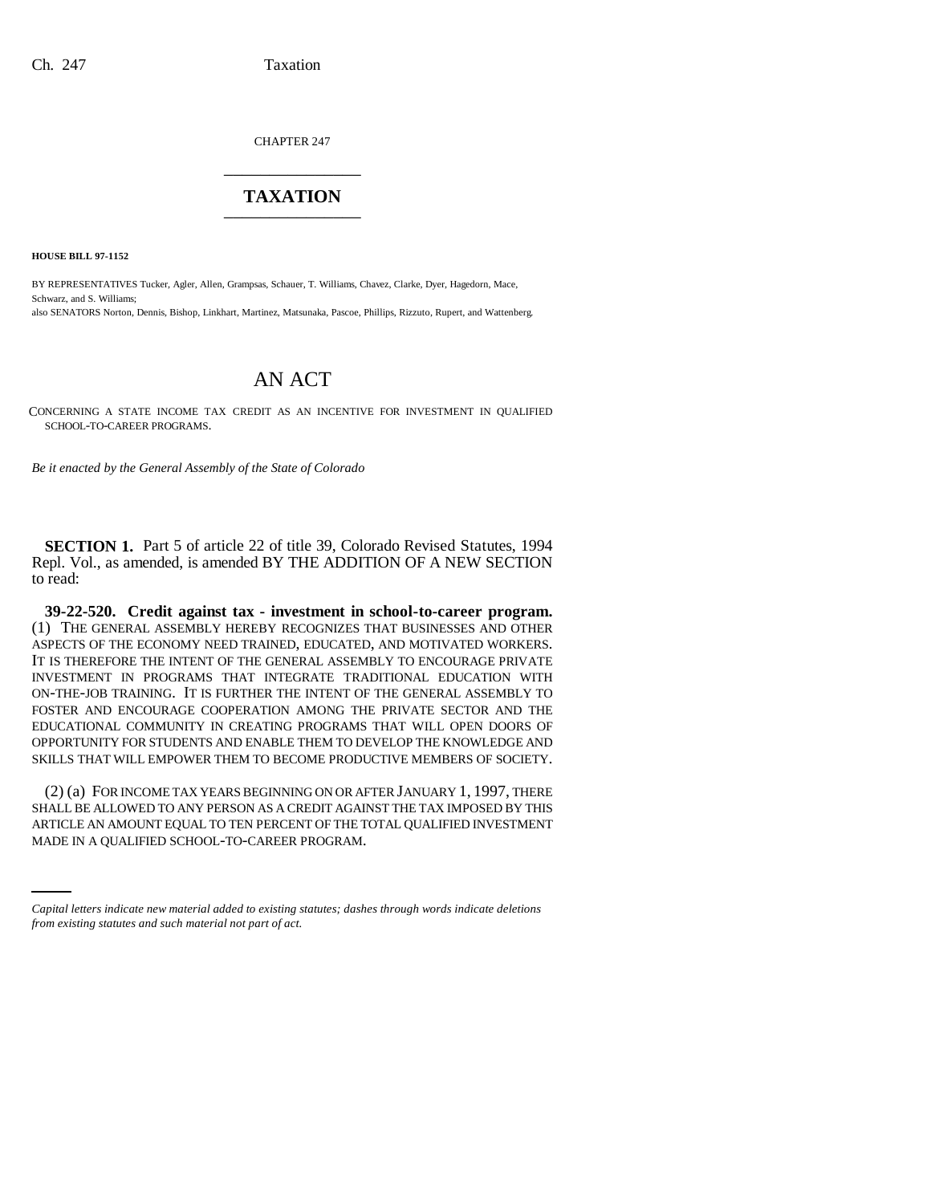CHAPTER 247 \_\_\_\_\_\_\_\_\_\_\_\_\_\_\_

## **TAXATION** \_\_\_\_\_\_\_\_\_\_\_\_\_\_\_

**HOUSE BILL 97-1152**

BY REPRESENTATIVES Tucker, Agler, Allen, Grampsas, Schauer, T. Williams, Chavez, Clarke, Dyer, Hagedorn, Mace, Schwarz, and S. Williams; also SENATORS Norton, Dennis, Bishop, Linkhart, Martinez, Matsunaka, Pascoe, Phillips, Rizzuto, Rupert, and Wattenberg.

## AN ACT

CONCERNING A STATE INCOME TAX CREDIT AS AN INCENTIVE FOR INVESTMENT IN QUALIFIED SCHOOL-TO-CAREER PROGRAMS.

*Be it enacted by the General Assembly of the State of Colorado*

**SECTION 1.** Part 5 of article 22 of title 39, Colorado Revised Statutes, 1994 Repl. Vol., as amended, is amended BY THE ADDITION OF A NEW SECTION to read:

**39-22-520. Credit against tax - investment in school-to-career program.** (1) THE GENERAL ASSEMBLY HEREBY RECOGNIZES THAT BUSINESSES AND OTHER ASPECTS OF THE ECONOMY NEED TRAINED, EDUCATED, AND MOTIVATED WORKERS. IT IS THEREFORE THE INTENT OF THE GENERAL ASSEMBLY TO ENCOURAGE PRIVATE INVESTMENT IN PROGRAMS THAT INTEGRATE TRADITIONAL EDUCATION WITH ON-THE-JOB TRAINING. IT IS FURTHER THE INTENT OF THE GENERAL ASSEMBLY TO FOSTER AND ENCOURAGE COOPERATION AMONG THE PRIVATE SECTOR AND THE EDUCATIONAL COMMUNITY IN CREATING PROGRAMS THAT WILL OPEN DOORS OF OPPORTUNITY FOR STUDENTS AND ENABLE THEM TO DEVELOP THE KNOWLEDGE AND SKILLS THAT WILL EMPOWER THEM TO BECOME PRODUCTIVE MEMBERS OF SOCIETY.

SHALL BE ALLOWED TO ANY PERSON AS A CREDIT AGAINST THE TAX IMPOSED BY THIS<br>A DIKK E AN AMOUNT FOULAURE OF THE REPORT OF THE TOTAL OU ALITED DIVESTMENT (2) (a) FOR INCOME TAX YEARS BEGINNING ON OR AFTER JANUARY 1, 1997, THERE ARTICLE AN AMOUNT EQUAL TO TEN PERCENT OF THE TOTAL QUALIFIED INVESTMENT MADE IN A QUALIFIED SCHOOL-TO-CAREER PROGRAM.

*Capital letters indicate new material added to existing statutes; dashes through words indicate deletions from existing statutes and such material not part of act.*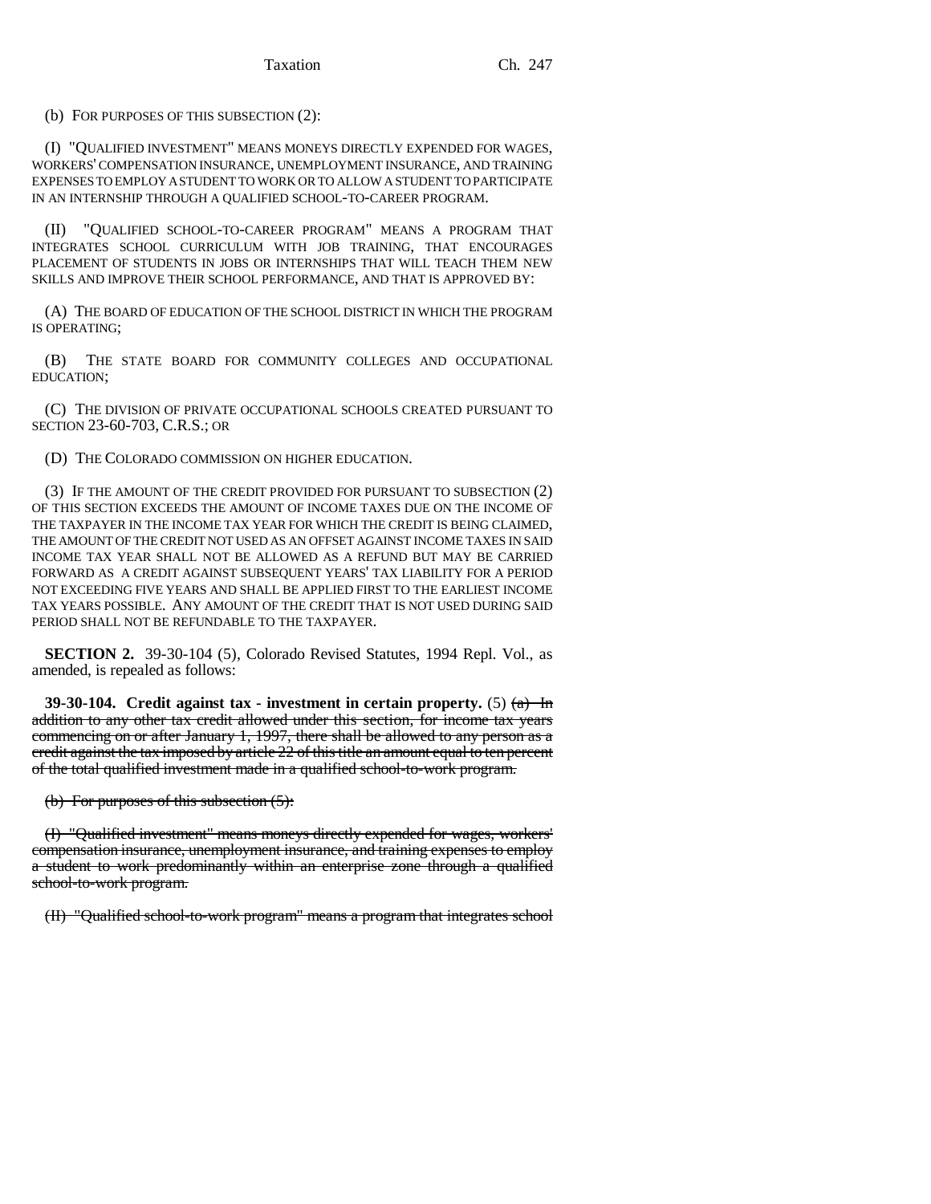(b) FOR PURPOSES OF THIS SUBSECTION (2):

(I) "QUALIFIED INVESTMENT" MEANS MONEYS DIRECTLY EXPENDED FOR WAGES, WORKERS' COMPENSATION INSURANCE, UNEMPLOYMENT INSURANCE, AND TRAINING EXPENSES TO EMPLOY A STUDENT TO WORK OR TO ALLOW A STUDENT TO PARTICIPATE IN AN INTERNSHIP THROUGH A QUALIFIED SCHOOL-TO-CAREER PROGRAM.

(II) "QUALIFIED SCHOOL-TO-CAREER PROGRAM" MEANS A PROGRAM THAT INTEGRATES SCHOOL CURRICULUM WITH JOB TRAINING, THAT ENCOURAGES PLACEMENT OF STUDENTS IN JOBS OR INTERNSHIPS THAT WILL TEACH THEM NEW SKILLS AND IMPROVE THEIR SCHOOL PERFORMANCE, AND THAT IS APPROVED BY:

(A) THE BOARD OF EDUCATION OF THE SCHOOL DISTRICT IN WHICH THE PROGRAM IS OPERATING;

(B) THE STATE BOARD FOR COMMUNITY COLLEGES AND OCCUPATIONAL EDUCATION;

(C) THE DIVISION OF PRIVATE OCCUPATIONAL SCHOOLS CREATED PURSUANT TO SECTION 23-60-703, C.R.S.; OR

(D) THE COLORADO COMMISSION ON HIGHER EDUCATION.

(3) IF THE AMOUNT OF THE CREDIT PROVIDED FOR PURSUANT TO SUBSECTION (2) OF THIS SECTION EXCEEDS THE AMOUNT OF INCOME TAXES DUE ON THE INCOME OF THE TAXPAYER IN THE INCOME TAX YEAR FOR WHICH THE CREDIT IS BEING CLAIMED, THE AMOUNT OF THE CREDIT NOT USED AS AN OFFSET AGAINST INCOME TAXES IN SAID INCOME TAX YEAR SHALL NOT BE ALLOWED AS A REFUND BUT MAY BE CARRIED FORWARD AS A CREDIT AGAINST SUBSEQUENT YEARS' TAX LIABILITY FOR A PERIOD NOT EXCEEDING FIVE YEARS AND SHALL BE APPLIED FIRST TO THE EARLIEST INCOME TAX YEARS POSSIBLE. ANY AMOUNT OF THE CREDIT THAT IS NOT USED DURING SAID PERIOD SHALL NOT BE REFUNDABLE TO THE TAXPAYER.

**SECTION 2.** 39-30-104 (5), Colorado Revised Statutes, 1994 Repl. Vol., as amended, is repealed as follows:

**39-30-104.** Credit against tax - investment in certain property.  $(5)$   $(a)$  In addition to any other tax credit allowed under this section, for income tax years commencing on or after January 1, 1997, there shall be allowed to any person as a credit against the tax imposed by article 22 of this title an amount equal to ten percent of the total qualified investment made in a qualified school-to-work program.

(b) For purposes of this subsection (5):

(I) "Qualified investment" means moneys directly expended for wages, workers' compensation insurance, unemployment insurance, and training expenses to employ a student to work predominantly within an enterprise zone through a qualified school-to-work program.

(II) "Qualified school-to-work program" means a program that integrates school